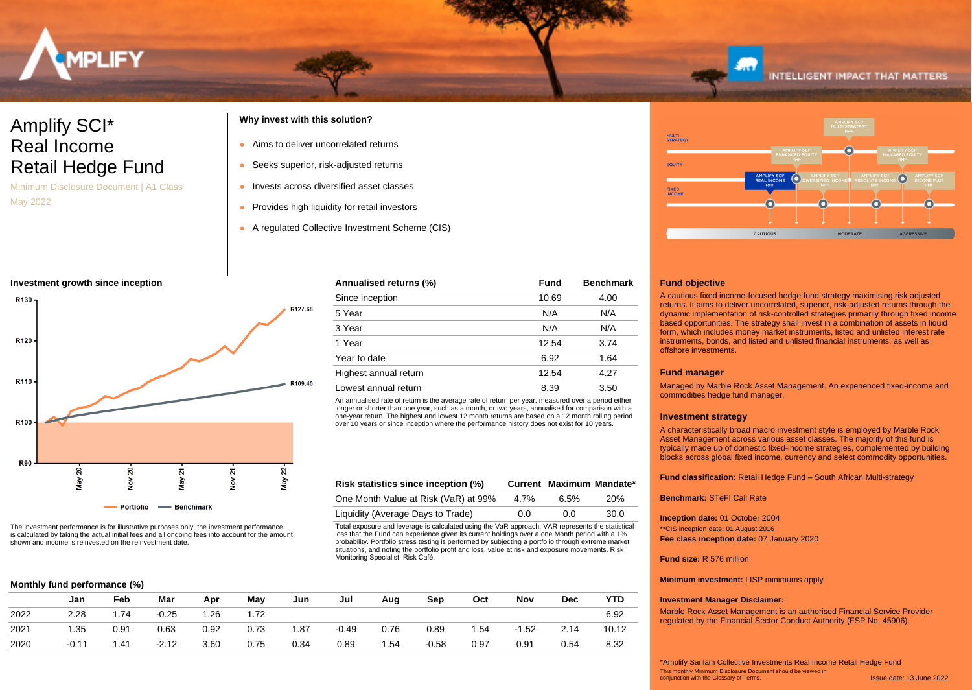

# Amplify SCI\* Real Income Retail Hedge Fund

Minimum Disclosure Document | A1 Class May 2022

## **Why invest with this solution?**

- Aims to deliver uncorrelated returns
- Seeks superior, risk-adjusted returns
- Invests across diversified asset classes
- Provides high liquidity for retail investors
- A regulated Collective Investment Scheme (CIS)

### **Investment growth since inception**



The investment performance is for illustrative purposes only, the investment performance is calculated by taking the actual initial fees and all ongoing fees into account for the amount shown and income is reinvested on the reinvestment date.

|  | Monthly fund performance (%) |  |
|--|------------------------------|--|
|--|------------------------------|--|

| thly fund performance (%) |  |  |
|---------------------------|--|--|
|                           |  |  |
|                           |  |  |

|      | Jan     | Feb  | Mar     | Apr  | May  | Jun  | Jul     | Aug  | Sep     | Oct  | Nov     | Dec  | <b>YTD</b> |
|------|---------|------|---------|------|------|------|---------|------|---------|------|---------|------|------------|
| 2022 | 2.28    | 1.74 | $-0.25$ | .26  | 1.72 |      |         |      |         |      |         |      | 6.92       |
| 2021 | 1.35    | 0.91 | 0.63    | 0.92 | 0.73 | 1.87 | $-0.49$ | 0.76 | 0.89    | 1.54 | $-1.52$ | 2.14 | 10.12      |
| 2020 | $-0.11$ | 1.41 | $-2.12$ | 3.60 | 0.75 | 0.34 | 0.89    | 1.54 | $-0.58$ | 0.97 | 0.91    | 0.54 | 8.32       |
|      |         |      |         |      |      |      |         |      |         |      |         |      |            |

Monitoring Specialist: Risk Café.

Total exposure and leverage is calculated using the VaR approach. VAR represents the statistical loss that the Fund can experience given its current holdings over a one Month period with a 1% probability. Portfolio stress testing is performed by subjecting a portfolio through extreme market situations, and noting the portfolio profit and loss, value at risk and exposure movements. Risk

**Risk statistics since inception (%) Current Maximum Mandate\*** One Month Value at Risk (VaR) at 99% 4.7% 6.5% 20% Liquidity (Average Days to Trade)  $0.0$  0.0 30.0

An annualised rate of return is the average rate of return per year, measured over a period either longer or shorter than one year, such as a month, or two years, annualised for comparison with a one-year return. The highest and lowest 12 month returns are based on a 12 month rolling period over 10 years or since inception where the performance history does not exist for 10 years.

**Annualised returns (%) Fund Benchmark** Since inception 10.69 4.00 5 Year N/A N/A 3 Year N/A N/A 1 Year 12.54 3.74 Year to date 6.92 1.64 Highest annual return 12.54 4.27 Lowest annual return and the state of the state of the state of the state of the state of the state of the state of the state of the state of the state of the state of the state of the state of the state of the state of th



**INTELLIGENT IMPACT THAT MATTERS** 

### **Fund objective**

A cautious fixed income-focused hedge fund strategy maximising risk adjusted returns. It aims to deliver uncorrelated, superior, risk-adjusted returns through the dynamic implementation of risk-controlled strategies primarily through fixed income based opportunities. The strategy shall invest in a combination of assets in liquid form, which includes money market instruments, listed and unlisted interest rate instruments, bonds, and listed and unlisted financial instruments, as well as offshore investments.

### **Fund manager**

Managed by Marble Rock Asset Management. An experienced fixed-income and commodities hedge fund manager.

### **Investment strategy**

A characteristically broad macro investment style is employed by Marble Rock Asset Management across various asset classes. The majority of this fund is typically made up of domestic fixed-income strategies, complemented by building blocks across global fixed income, currency and select commodity opportunities.

**Fund classification:** Retail Hedge Fund – South African Multi-strategy

**Benchmark:** STeFI Call Rate

**Inception date:** 01 October 2004 **Fee class inception date:** 07 January 2020 \*\*CIS inception date: 01 August 2016

### **Fund size:** R 576 million

**Minimum investment:** LISP minimums apply

### **Investment Manager Disclaimer:**

Marble Rock Asset Management is an authorised Financial Service Provider regulated by the Financial Sector Conduct Authority (FSP No. 45906).

Issue date: 13 June 2022 This monthly Minimum Disclosure Document should be viewed in conjunction with the Glossary of Terms. \*Amplify Sanlam Collective Investments Real Income Retail Hedge Fund